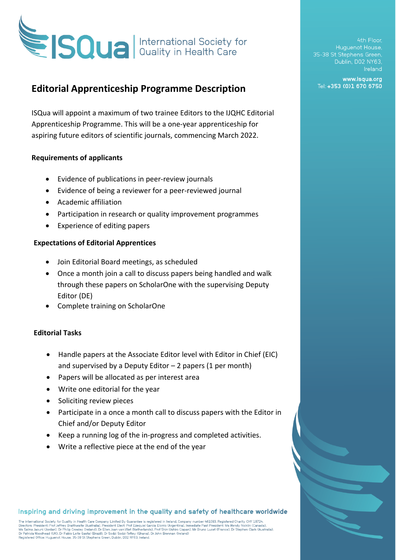

# **Editorial Apprenticeship Programme Description**

ISQua will appoint a maximum of two trainee Editors to the IJQHC Editorial Apprenticeship Programme. This will be a one-year apprenticeship for aspiring future editors of scientific journals, commencing March 2022.

### **Requirements of applicants**

- Evidence of publications in peer-review journals
- Evidence of being a reviewer for a peer-reviewed journal
- Academic affiliation
- Participation in research or quality improvement programmes
- Experience of editing papers

### **Expectations of Editorial Apprentices**

- Join Editorial Board meetings, as scheduled
- Once a month join a call to discuss papers being handled and walk through these papers on ScholarOne with the supervising Deputy Editor (DE)
- Complete training on ScholarOne

### **Editorial Tasks**

- Handle papers at the Associate Editor level with Editor in Chief (EIC) and supervised by a Deputy Editor  $-2$  papers (1 per month)
- Papers will be allocated as per interest area
- Write one editorial for the year
- Soliciting review pieces
- Participate in a once a month call to discuss papers with the Editor in Chief and/or Deputy Editor
- Keep a running log of the in-progress and completed activities.
- Write a reflective piece at the end of the year

Inspiring and driving improvement in the quality and safety of healthcare worldwide

The International Society for Quality in Health Care Company Limited By Guarantee is registered in Ireland, Company number 461093. Registered Charity CHY 18724 Directors: President: Prof Jeffrey Braithwaite (Australia), President Elect. Prof Ezequiel Garcia Elorno (Argentina), Immediate Past President: Ms Wendy Nicklin (Canada), Dr. Stephen Clark (Australia), President Elect. Pro

4th Floor. Huguenot House, 35-38 St Stephens Green, Dublin, D02 NY63, Ireland

www.isqua.org Tel: +353 (0)1 670 6750